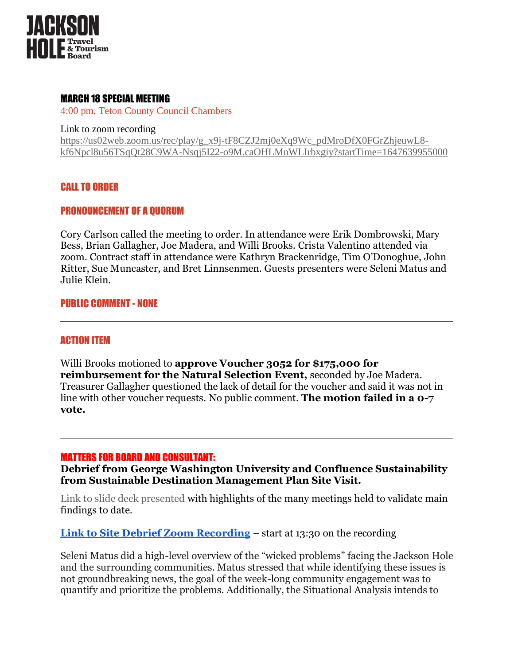

# MARCH 18 SPECIAL MEETING

4:00 pm, Teton County Council Chambers

Link to zoom recording

[https://us02web.zoom.us/rec/play/g\\_x9j-tF8CZJ2mj0eXq9Wc\\_pdMroDfX0FGrZhjeuwL8](https://us02web.zoom.us/rec/play/g_x9j-tF8CZJ2mj0eXq9Wc_pdMroDfX0FGrZhjeuwL8-kf6Npcl8u56TSqQt28C9WA-Nsqj5I22-o9M.caOHLMnWLIrbxgiy?startTime=1647639955000) [kf6Npcl8u56TSqQt28C9WA-Nsqj5I22-o9M.caOHLMnWLIrbxgiy?startTime=1647639955000](https://us02web.zoom.us/rec/play/g_x9j-tF8CZJ2mj0eXq9Wc_pdMroDfX0FGrZhjeuwL8-kf6Npcl8u56TSqQt28C9WA-Nsqj5I22-o9M.caOHLMnWLIrbxgiy?startTime=1647639955000)

## CALL TO ORDER

## PRONOUNCEMENT OF A QUORUM

Cory Carlson called the meeting to order. In attendance were Erik Dombrowski, Mary Bess, Brian Gallagher, Joe Madera, and Willi Brooks. Crista Valentino attended via zoom. Contract staff in attendance were Kathryn Brackenridge, Tim O'Donoghue, John Ritter, Sue Muncaster, and Bret Linnsenmen. Guests presenters were Seleni Matus and Julie Klein.

## PUBLIC COMMENT - NONE

### ACTION ITEM

Willi Brooks motioned to **approve Voucher 3052 for \$175,000 for reimbursement for the Natural Selection Event,** seconded by Joe Madera. Treasurer Gallagher questioned the lack of detail for the voucher and said it was not in line with other voucher requests. No public comment. **The motion failed in a 0-7 vote.** 

### MATTERS FOR BOARD AND CONSULTANT:

**Debrief from George Washington University and Confluence Sustainability from Sustainable Destination Management Plan Site Visit.** 

[Link to slide deck presented](https://drive.google.com/file/d/1xwd1d3olpbEQvLGJUnCqAaGEyIDZT2h3/view) with highlights of the many meetings held to validate main findings to date.

**[Link to Site Debrief Zoom Recording](https://us02web.zoom.us/rec/share/NrcT555shuvjwHKRhks9dGVBNypHtK0OO5KqujpZzaSwMO7EPXrWIYCzKeyemCeN.y1OdILr81IJz9gyv?startTime=1647639955000)** – start at 13:30 on the recording

Seleni Matus did a high-level overview of the "wicked problems" facing the Jackson Hole and the surrounding communities. Matus stressed that while identifying these issues is not groundbreaking news, the goal of the week-long community engagement was to quantify and prioritize the problems. Additionally, the Situational Analysis intends to